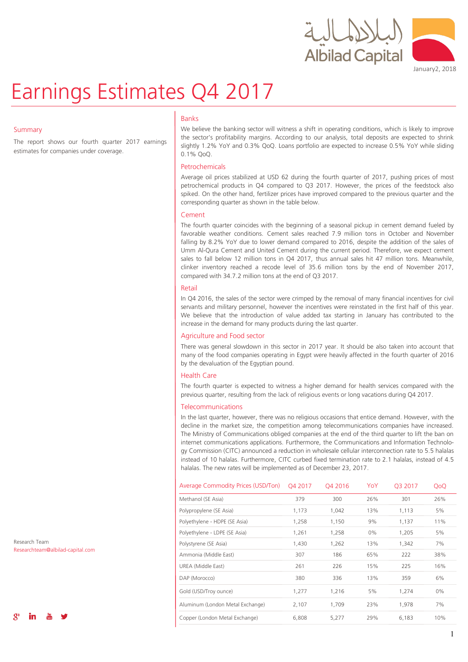



# Earnings Estimates Q4 2017

### **Summary**

The report shows our fourth quarter 2017 earnings estimates for companies under coverage.

### Banks

We believe the banking sector will witness a shift in operating conditions, which is likely to improve the sector's profitability margins. According to our analysis, total deposits are expected to shrink slightly 1.2% YoY and 0.3% QoQ. Loans portfolio are expected to increase 0.5% YoY while sliding 0.1% QoQ.

### Petrochemicals

Average oil prices stabilized at USD 62 during the fourth quarter of 2017, pushing prices of most petrochemical products in Q4 compared to Q3 2017. However, the prices of the feedstock also spiked. On the other hand, fertilizer prices have improved compared to the previous quarter and the corresponding quarter as shown in the table below.

### Cement

The fourth quarter coincides with the beginning of a seasonal pickup in cement demand fueled by favorable weather conditions. Cement sales reached 7.9 million tons in October and November falling by 8.2% YoY due to lower demand compared to 2016, despite the addition of the sales of Umm Al-Qura Cement and United Cement during the current period. Therefore, we expect cement sales to fall below 12 million tons in Q4 2017, thus annual sales hit 47 million tons. Meanwhile, clinker inventory reached a recode level of 35.6 million tons by the end of November 2017, compared with 34.7.2 million tons at the end of Q3 2017.

### Retail

In Q4 2016, the sales of the sector were crimped by the removal of many financial incentives for civil servants and military personnel, however the incentives were reinstated in the first half of this year. We believe that the introduction of value added tax starting in January has contributed to the increase in the demand for many products during the last quarter.

### Agriculture and Food sector

There was general slowdown in this sector in 2017 year. It should be also taken into account that many of the food companies operating in Egypt were heavily affected in the fourth quarter of 2016 by the devaluation of the Egyptian pound.

### Health Care

The fourth quarter is expected to witness a higher demand for health services compared with the previous quarter, resulting from the lack of religious events or long vacations during Q4 2017.

### Telecommunications

In the last quarter, however, there was no religious occasions that entice demand. However, with the decline in the market size, the competition among telecommunications companies have increased. The Ministry of Communications obliged companies at the end of the third quarter to lift the ban on internet communications applications. Furthermore, the Communications and Information Technology Commission (CITC) announced a reduction in wholesale cellular interconnection rate to 5.5 halalas instead of 10 halalas. Furthermore, CITC curbed fixed termination rate to 2.1 halalas, instead of 4.5 halalas. The new rates will be implemented as of December 23, 2017.

| Average Commodity Prices (USD/Ton) | O4 2017 | O4 2016 | YoY   | O <sub>3</sub> 2017 | QoQ |
|------------------------------------|---------|---------|-------|---------------------|-----|
| Methanol (SE Asia)                 | 379     | 300     | 26%   | 301                 | 26% |
| Polypropylene (SE Asia)            | 1,173   | 1,042   | 13%   | 1,113               | 5%  |
| Polyethylene - HDPE (SE Asia)      | 1,258   | 1,150   | 9%    | 1,137               | 11% |
| Polyethylene - LDPE (SE Asia)      | 1,261   | 1,258   | $0\%$ | 1,205               | 5%  |
| Polystyrene (SE Asia)              | 1,430   | 1,262   | 13%   | 1,342               | 7%  |
| Ammonia (Middle East)              | 307     | 186     | 65%   | 222                 | 38% |
| UREA (Middle East)                 | 261     | 226     | 15%   | 225                 | 16% |
| DAP (Morocco)                      | 380     | 336     | 13%   | 359                 | 6%  |
| Gold (USD/Troy ounce)              | 1,277   | 1,216   | 5%    | 1,274               | 0%  |
| Aluminum (London Metal Exchange)   | 2,107   | 1,709   | 23%   | 1,978               | 7%  |
| Copper (London Metal Exchange)     | 6,808   | 5,277   | 29%   | 6,183               | 10% |

Research Team Researchteam@albilad-capital.com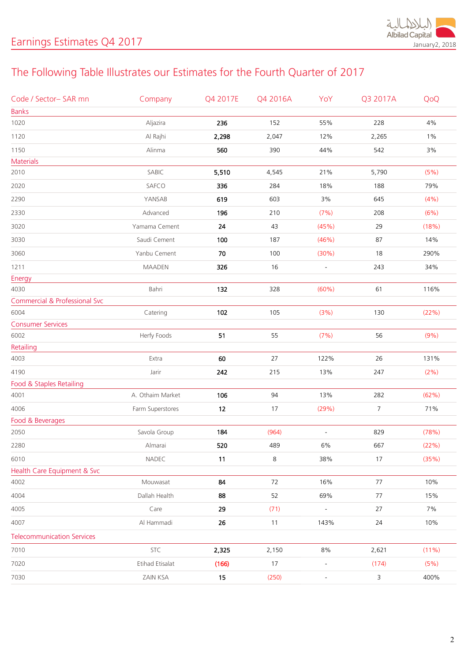

# The Following Table Illustrates our Estimates for the Fourth Quarter of 2017

| <b>Banks</b><br>1020<br>Aljazira<br>4%<br>236<br>152<br>55%<br>228<br>Al Rajhi<br>2,298<br>12%<br>$1\%$<br>1120<br>2,047<br>2,265<br>1150<br>Alinma<br>560<br>542<br>3%<br>390<br>44%<br><b>Materials</b><br>SABIC<br>(5%)<br>2010<br>5,510<br>4,545<br>21%<br>5,790<br>SAFCO<br>79%<br>2020<br>336<br>284<br>18%<br>188<br>3%<br>2290<br>YANSAB<br>619<br>603<br>645<br>(4% )<br>Advanced<br>196<br>(7%)<br>(6%)<br>2330<br>210<br>208<br>3020<br>Yamama Cement<br>24<br>(45%)<br>29<br>(18%)<br>43<br>3030<br>Saudi Cement<br>100<br>(46%)<br>14%<br>187<br>87 |  |
|------------------------------------------------------------------------------------------------------------------------------------------------------------------------------------------------------------------------------------------------------------------------------------------------------------------------------------------------------------------------------------------------------------------------------------------------------------------------------------------------------------------------------------------------------------------|--|
|                                                                                                                                                                                                                                                                                                                                                                                                                                                                                                                                                                  |  |
|                                                                                                                                                                                                                                                                                                                                                                                                                                                                                                                                                                  |  |
|                                                                                                                                                                                                                                                                                                                                                                                                                                                                                                                                                                  |  |
|                                                                                                                                                                                                                                                                                                                                                                                                                                                                                                                                                                  |  |
|                                                                                                                                                                                                                                                                                                                                                                                                                                                                                                                                                                  |  |
|                                                                                                                                                                                                                                                                                                                                                                                                                                                                                                                                                                  |  |
|                                                                                                                                                                                                                                                                                                                                                                                                                                                                                                                                                                  |  |
|                                                                                                                                                                                                                                                                                                                                                                                                                                                                                                                                                                  |  |
|                                                                                                                                                                                                                                                                                                                                                                                                                                                                                                                                                                  |  |
|                                                                                                                                                                                                                                                                                                                                                                                                                                                                                                                                                                  |  |
|                                                                                                                                                                                                                                                                                                                                                                                                                                                                                                                                                                  |  |
| 3060<br>Yanbu Cement<br>70<br>100<br>(30%)<br>18<br>290%                                                                                                                                                                                                                                                                                                                                                                                                                                                                                                         |  |
| 326<br>16<br>243<br>34%<br>1211<br><b>MAADEN</b><br>$\overline{a}$                                                                                                                                                                                                                                                                                                                                                                                                                                                                                               |  |
| Energy                                                                                                                                                                                                                                                                                                                                                                                                                                                                                                                                                           |  |
| 132<br>61<br>4030<br>Bahri<br>328<br>(60%)<br>116%                                                                                                                                                                                                                                                                                                                                                                                                                                                                                                               |  |
| <b>Commercial &amp; Professional Svc</b>                                                                                                                                                                                                                                                                                                                                                                                                                                                                                                                         |  |
| 102<br>6004<br>105<br>(3%)<br>130<br>(22%)<br>Catering                                                                                                                                                                                                                                                                                                                                                                                                                                                                                                           |  |
| <b>Consumer Services</b>                                                                                                                                                                                                                                                                                                                                                                                                                                                                                                                                         |  |
| Herfy Foods<br>51<br>55<br>6002<br>(7%)<br>56<br>(9%)                                                                                                                                                                                                                                                                                                                                                                                                                                                                                                            |  |
| Retailing                                                                                                                                                                                                                                                                                                                                                                                                                                                                                                                                                        |  |
| 4003<br>60<br>131%<br>Extra<br>27<br>122%<br>26                                                                                                                                                                                                                                                                                                                                                                                                                                                                                                                  |  |
| 4190<br>Jarir<br>215<br>(2% )<br>242<br>13%<br>247                                                                                                                                                                                                                                                                                                                                                                                                                                                                                                               |  |
| Food & Staples Retailing                                                                                                                                                                                                                                                                                                                                                                                                                                                                                                                                         |  |
| A. Othaim Market<br>106<br>94<br>13%<br>282<br>(62%)<br>4001                                                                                                                                                                                                                                                                                                                                                                                                                                                                                                     |  |
| 4006<br>Farm Superstores<br>12<br>17<br>(29%)<br>7<br>71%                                                                                                                                                                                                                                                                                                                                                                                                                                                                                                        |  |
| Food & Beverages                                                                                                                                                                                                                                                                                                                                                                                                                                                                                                                                                 |  |
| Savola Group<br>(964)<br>829<br>(78%)<br>2050<br>184<br>$\overline{\phantom{a}}$                                                                                                                                                                                                                                                                                                                                                                                                                                                                                 |  |
| 520<br>489<br>667<br>(22%)<br>2280<br>Almarai<br>$6\%$                                                                                                                                                                                                                                                                                                                                                                                                                                                                                                           |  |
| NADEC<br>11<br>8<br>17<br>(35%)<br>6010<br>38%                                                                                                                                                                                                                                                                                                                                                                                                                                                                                                                   |  |
| Health Care Equipment & Svc                                                                                                                                                                                                                                                                                                                                                                                                                                                                                                                                      |  |
| 84<br>10%<br>4002<br>Mouwasat<br>72<br>16%<br>77                                                                                                                                                                                                                                                                                                                                                                                                                                                                                                                 |  |
| Dallah Health<br>4004<br>88<br>52<br>69%<br>77<br>15%                                                                                                                                                                                                                                                                                                                                                                                                                                                                                                            |  |
| 4005<br>Care<br>29<br>(71)<br>7%<br>27<br>$\overline{\phantom{a}}$                                                                                                                                                                                                                                                                                                                                                                                                                                                                                               |  |
| Al Hammadi<br>26<br>4007<br>11<br>143%<br>24<br>10%                                                                                                                                                                                                                                                                                                                                                                                                                                                                                                              |  |
| <b>Telecommunication Services</b>                                                                                                                                                                                                                                                                                                                                                                                                                                                                                                                                |  |
| STC<br>$8\%$<br>7010<br>2,325<br>2,150<br>2,621<br>(11%)                                                                                                                                                                                                                                                                                                                                                                                                                                                                                                         |  |
| Etihad Etisalat<br>7020<br>(166)<br>17<br>(5%)<br>(174)<br>$\frac{1}{2}$                                                                                                                                                                                                                                                                                                                                                                                                                                                                                         |  |
| 15<br>7030<br>ZAIN KSA<br>(250)<br>3<br>400%<br>$\overline{\phantom{a}}$                                                                                                                                                                                                                                                                                                                                                                                                                                                                                         |  |